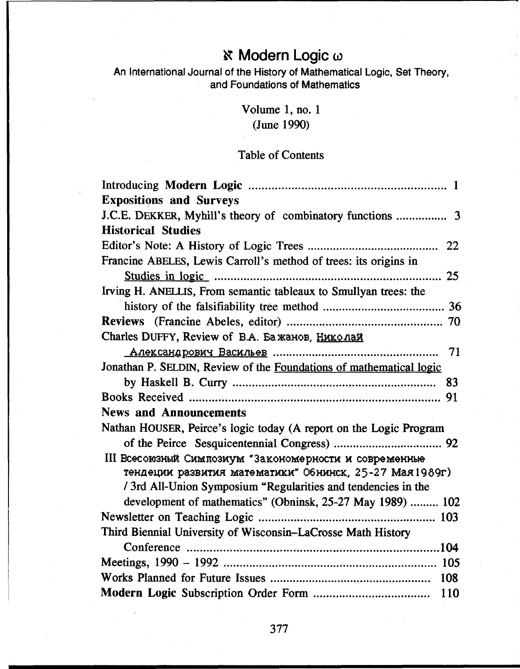# **κ Modern Logic ω**

An International Journal of the History of Mathematical Logic, Set Theory, and Foundations of Mathematics

> Volume 1, no. 1 (June 1990)

#### Table of Contents

| <b>Expositions and Surveys</b>                                                             |
|--------------------------------------------------------------------------------------------|
|                                                                                            |
| <b>Historical Studies</b>                                                                  |
|                                                                                            |
| Francine ABELES, Lewis Carroll's method of trees: its origins in                           |
| <u>Studies in logic must consumer controlled and the studies in logic must consumer 25</u> |
| Irving H. ANELLIS, From semantic tableaux to Smullyan trees: the                           |
|                                                                                            |
|                                                                                            |
| Charles DUFFY, Review of B.A. Ба жанов, Николай                                            |
|                                                                                            |
| Jonathan P. SELDIN, Review of the Foundations of mathematical logic                        |
|                                                                                            |
|                                                                                            |
| <b>News and Announcements</b>                                                              |
| Nathan HOUSER, Peirce's logic today (A report on the Logic Program                         |
|                                                                                            |
| III Всесоюзный Симпозиум "Закономерности и современные                                     |
| тендеции развития математики" Обнинск, 25-27 Мая 1989г)                                    |
| / 3rd All-Union Symposium "Regularities and tendencies in the                              |
| development of mathematics" (Obninsk, 25-27 May 1989)  102                                 |
|                                                                                            |
| Third Biennial University of Wisconsin–LaCrosse Math History                               |
|                                                                                            |
|                                                                                            |
|                                                                                            |
| 110                                                                                        |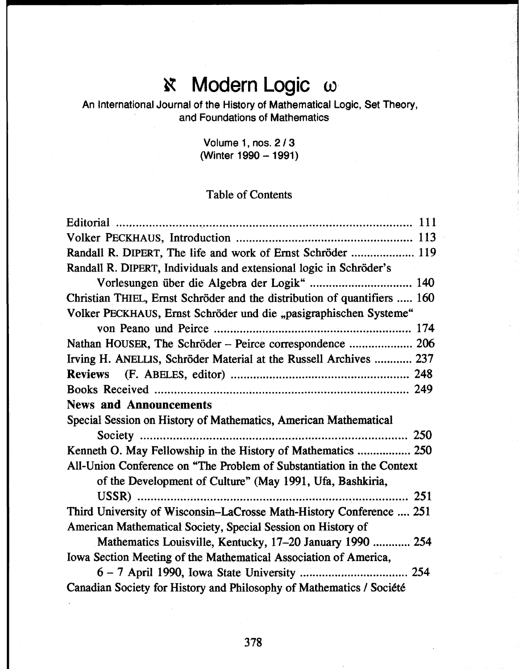#### **Modern Logic ω**  $\mathbf{x}$

An International Journal of the History of Mathematical Logic, Set Theory, and Foundations of Mathematics

> Volume 1, nos. 2 / 3 (Winter 1990 - 1991)

#### Table of Contents

| Randall R. DIPERT, The life and work of Ernst Schröder  119              |
|--------------------------------------------------------------------------|
| Randall R. DIPERT, Individuals and extensional logic in Schröder's       |
| Vorlesungen über die Algebra der Logik"  140                             |
| Christian THIEL, Ernst Schröder and the distribution of quantifiers  160 |
| Volker PECKHAUS, Ernst Schröder und die "pasigraphischen Systeme"        |
|                                                                          |
| Nathan HOUSER, The Schröder - Peirce correspondence  206                 |
| Irving H. ANELLIS, Schröder Material at the Russell Archives  237        |
|                                                                          |
|                                                                          |
| <b>News and Announcements</b>                                            |
| Special Session on History of Mathematics, American Mathematical         |
|                                                                          |
| Kenneth O. May Fellowship in the History of Mathematics  250             |
| All-Union Conference on "The Problem of Substantiation in the Context    |
| of the Development of Culture" (May 1991, Ufa, Bashkiria,                |
|                                                                          |
| Third University of Wisconsin–LaCrosse Math-History Conference  251      |
| American Mathematical Society, Special Session on History of             |
| Mathematics Louisville, Kentucky, 17–20 January 1990  254                |
| Iowa Section Meeting of the Mathematical Association of America,         |
|                                                                          |
| Canadian Society for History and Philosophy of Mathematics / Société     |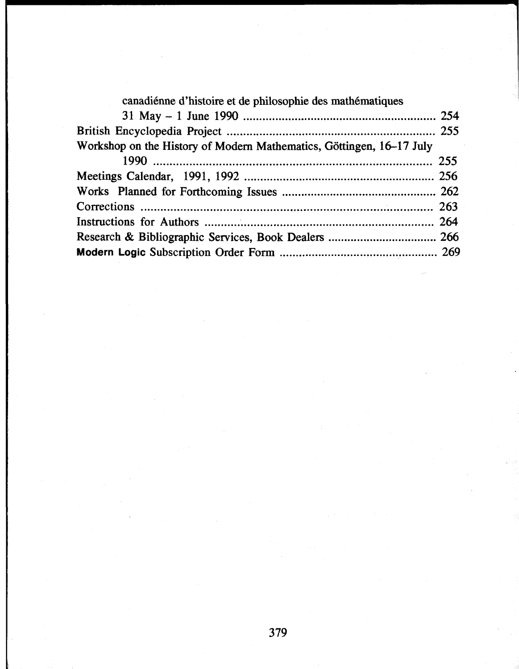| canadiénne d'histoire et de philosophie des mathématiques            |  |
|----------------------------------------------------------------------|--|
|                                                                      |  |
|                                                                      |  |
| Workshop on the History of Modern Mathematics, Göttingen, 16–17 July |  |
|                                                                      |  |
|                                                                      |  |
|                                                                      |  |
|                                                                      |  |
|                                                                      |  |
|                                                                      |  |
|                                                                      |  |